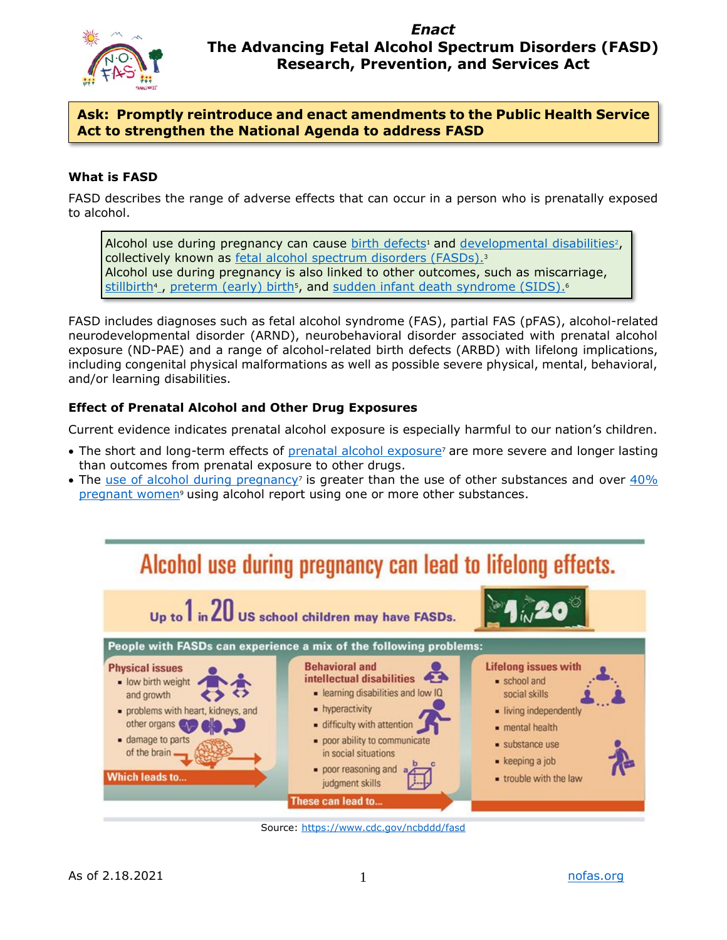

## *Enact* **The Advancing Fetal Alcohol Spectrum Disorders (FASD) Research, Prevention, and Services Act**

## **Ask: Promptly reintroduce and enact amendments to the Public Health Service Act to strengthen the National Agenda to address FASD**

## **What is FASD**

FASD describes the range of adverse effects that can occur in a person who is prenatally exposed to alcohol.

Alcohol use during pregnancy can cause [birth defects](https://www.cdc.gov/ncbddd/birthdefects/index.html)<sup>1</sup> and [developmental disabilities](https://www.cdc.gov/ncbddd/developmentaldisabilities/index.html)<sup>2</sup>, collectively known as [fetal alcohol spectrum disorders \(FASDs\).](https://www.cdc.gov/ncbddd/fasd/)<sup>3</sup> Alcohol use during pregnancy is also linked to other outcomes, such as miscarriage, [stillbirth](https://www.cdc.gov/ncbddd/stillbirth/index.html)<sup>4</sup>, [preterm \(early\) birth](http://www.cdc.gov/reproductivehealth/maternalinfanthealth/pretermbirth.htm)<sup>5</sup>[,](#page-3-6) and [sudden infant death syndrome \(SIDS\)](http://www.cdc.gov/sids/)[.](#page-3-7)<sup>6</sup>

FASD includes diagnoses such as fetal alcohol syndrome (FAS), partial FAS (pFAS), alcohol-related neurodevelopmental disorder (ARND), neurobehavioral disorder associated with prenatal alcohol exposure (ND-PAE) and a range of alcohol-related birth defects (ARBD) with lifelong implications, including congenital physical malformations as well as possible severe physical, mental, behavioral, and/or learning disabilities.

#### **Effect of Prenatal Alcohol and Other Drug Exposures**

Current evidence indicates prenatal alcohol exposure is especially harmful to our nation's children.

- The short and long-term effects of [prenatal alcohol exposure](https://pediatrics.aappublications.org/content/131/3/e1009/tab-figures-data)<sup>7</sup> are more severe and longer lasting than outcomes from prenatal exposure to other drugs.
- The [use of alcohol during pregnancy](https://www.samhsa.gov/data/sites/default/files/reports/rpt29394/NSDUHDetailedTabs2019/NSDUHDetTabsSect6pe2019.htm#tab6-20b)<sup>7</sup> is greater than the use of other substances and over  $40\%$ [pregnant women](https://www.cdc.gov/mmwr/volumes/69/wr/mm6931a1.htm)<sup>9</sup> using alcohol report using one or more other substances.



Source: [https://www.cdc.gov/ncbddd/fasd](https://www.cdc.gov/ncbddd/fasd/AlcoholUseDuringPregnancy.html)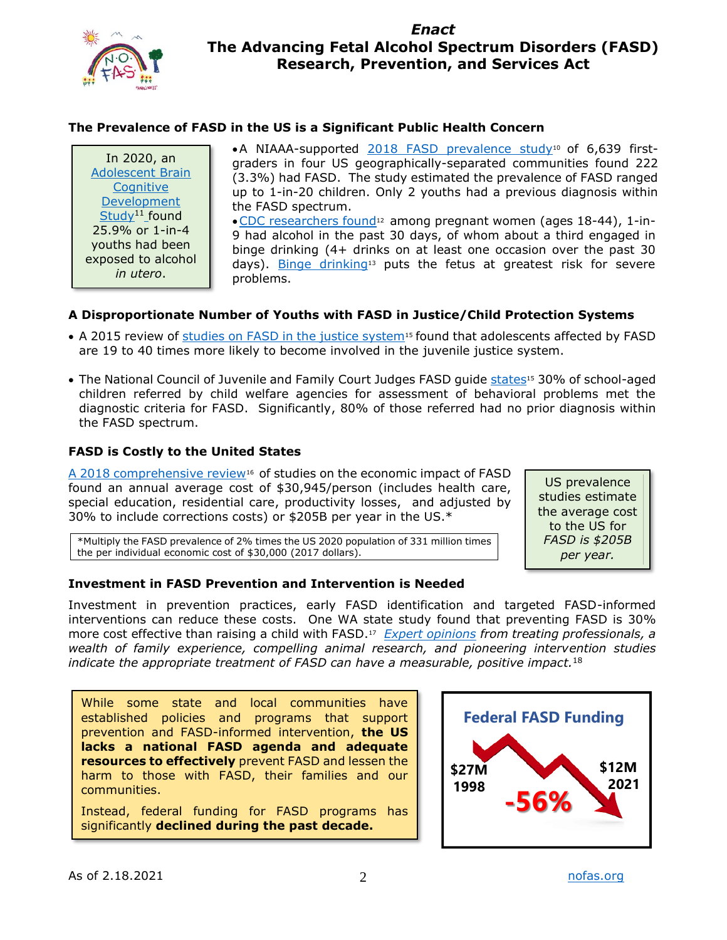

# *Enact* **The Advancing Fetal Alcohol Spectrum Disorders (FASD) Research, Prevention, and Services Act**

## **The Prevalence of FASD in the US is a Significant Public Health Concern**

In 2020, an [Adolescent Brain](https://www.sciencedirect.com/science/article/pii/S1878929317300890)  **Cognitive** [Development](https://www.sciencedirect.com/science/article/pii/S1878929317300890)  [Study](https://www.sciencedirect.com/science/article/pii/S1878929317300890)<sup>[11](#page-3-13)</sup> found 25.9% or 1-in-4 youths had been exposed to alcohol *in utero*.

•A NIAAA-supported 2018 [FASD prevalence study](https://jamanetwork.com/journals/jama/fullarticle/2671465)[10](#page-3-8) of 6,639 firstgraders in four US geographically-separated communities found 222 (3.3%) had FASD. The study estimated the prevalence of FASD ranged up to 1-in-20 children. Only 2 youths had a previous diagnosis within the FASD spectrum.

•[CDC researchers found](https://www.cdc.gov/ncbddd/fasd/data.html)[12](#page-3-9) among pregnant women (ages 18-44), 1-in-9 had alcohol in the past 30 days, of whom about a third engaged in binge drinking (4+ drinks on at least one occasion over the past 30 days). [Binge drinking](https://www.niaaa.nih.gov/publications/brochures-and-fact-sheets/fetal-alcohol-exposure)<sup>13</sup> puts the fetus at greatest risk for severe problems.

#### **A Disproportionate Number of Youths with FASD in Justice/Child Protection Systems**

- A 2015 review of [studies on FASD in the justice system](https://symbiosisonlinepublishing.com/psychology/psychology23.php)<sup>[15](#page-3-10)</sup> found that adolescents affected by FASD are 19 to 40 times more likely to become involved in the juvenile justice system.
- The National Council of Juvenile and Family Court Judges FASD guide [states](https://www.niaaa.nih.gov/sites/default/files/publications/ICCFASD/NCJFCJ%20FASD%20Guide%20Final-12012016.SA_Access_FinalTC.pdf)<sup>15</sup> 30% of school-aged children referred by child welfare agencies for assessment of behavioral problems met the diagnostic criteria for FASD. Significantly, 80% of those referred had no prior diagnosis within the FASD spectrum.

#### **FASD is Costly to the United States**

[A 2018 comprehensive review](https://pubmed.ncbi.nlm.nih.gov/30383615/)<sup>[16](#page-3-11)</sup> of studies on the economic impact of FASD found an annual average cost of \$30,945/person (includes health care, special education, residential care, productivity losses, and adjusted by 30% to include corrections costs) or \$205B per year in the US.\*

\*Multiply the FASD prevalence of 2% times the US 2020 population of 331 million times the per individual economic cost of \$30,000 (2017 dollars).

#### **Investment in FASD Prevention and Intervention is Needed**

Investment in prevention practices, early FASD identification and targeted FASD-informed interventions can reduce these costs. One WA state study found that preventing FASD is 30% more cost effective than raising a child with FASD.<sup>17</sup> *[Expert opinions](https://www.cdc.gov/ncbddd/fasd/modules/calltoaction-P.pdf) from treating professionals, a wealth of family experience, compelling animal research, and pioneering intervention studies indicate the appropriate treatment of FASD can have a measurable, positive impact.* [18](#page-3-12)

While some state and local communities have established policies and programs that support prevention and FASD-informed intervention, **the US lacks a national FASD agenda and adequate resources to effectively** prevent FASD and lessen the harm to those with FASD, their families and our communities.

Instead, federal funding for FASD programs has significantly **declined during the past decade.** 



US prevalence studies estimate the average cost to the US for *FASD is \$205B per year.*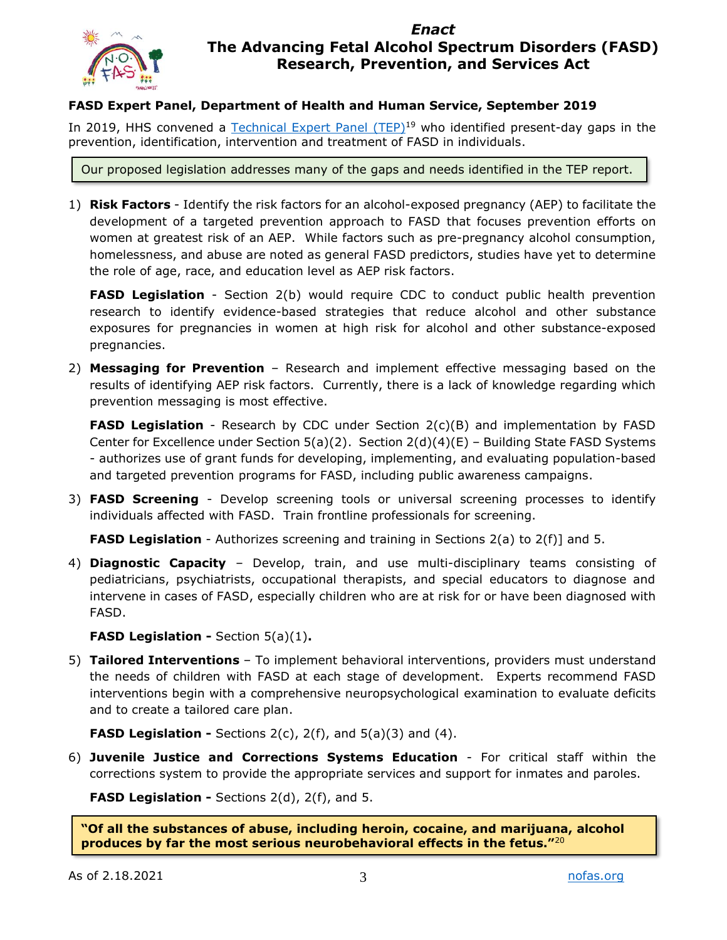

# *Enact* **The Advancing Fetal Alcohol Spectrum Disorders (FASD) Research, Prevention, and Services Act**

## **FASD Expert Panel, Department of Health and Human Service, September 2019**

In 2019, HHS convened a [Technical Expert Panel](https://www.rti.org/publication/fetal-alcohol-spectrum-disorders/fulltext.pdf) (TEP)<sup>[19](#page-3-14)</sup> who identified present-day gaps in the prevention, identification, intervention and treatment of FASD in individuals.

Our proposed legislation addresses many of the gaps and needs identified in the TEP report.

1) **Risk Factors** - Identify the risk factors for an alcohol-exposed pregnancy (AEP) to facilitate the development of a targeted prevention approach to FASD that focuses prevention efforts on women at greatest risk of an AEP. While factors such as pre-pregnancy alcohol consumption, homelessness, and abuse are noted as general FASD predictors, studies have yet to determine the role of age, race, and education level as AEP risk factors.

**FASD Legislation** - Section 2(b) would require CDC to conduct public health prevention research to identify evidence-based strategies that reduce alcohol and other substance exposures for pregnancies in women at high risk for alcohol and other substance-exposed pregnancies.

2) **Messaging for Prevention** – Research and implement effective messaging based on the results of identifying AEP risk factors. Currently, there is a lack of knowledge regarding which prevention messaging is most effective.

**FASD Legislation** - Research by CDC under Section 2(c)(B) and implementation by FASD Center for Excellence under Section 5(a)(2). Section  $2(d)(4)(E)$  – Building State FASD Systems - authorizes use of grant funds for developing, implementing, and evaluating population-based and targeted prevention programs for FASD, including public awareness campaigns.

3) **FASD Screening** - Develop screening tools or universal screening processes to identify individuals affected with FASD. Train frontline professionals for screening.

**FASD Legislation** - Authorizes screening and training in Sections 2(a) to 2(f)] and 5.

4) **Diagnostic Capacity** – Develop, train, and use multi-disciplinary teams consisting of pediatricians, psychiatrists, occupational therapists, and special educators to diagnose and intervene in cases of FASD, especially children who are at risk for or have been diagnosed with FASD.

**FASD Legislation -** Section 5(a)(1)**.**

5) **Tailored Interventions** – To implement behavioral interventions, providers must understand the needs of children with FASD at each stage of development. Experts recommend FASD interventions begin with a comprehensive neuropsychological examination to evaluate deficits and to create a tailored care plan.

**FASD Legislation -** Sections 2(c), 2(f), and 5(a)(3) and (4).

6) **Juvenile Justice and Corrections Systems Education** - For critical staff within the corrections system to provide the appropriate services and support for inmates and paroles.

**FASD Legislation -** Sections 2(d), 2(f), and 5.

**"Of all the substances of abuse, including heroin, cocaine, and marijuana, alcohol produces by far the most serious neurobehavioral effects in the fetus."**20